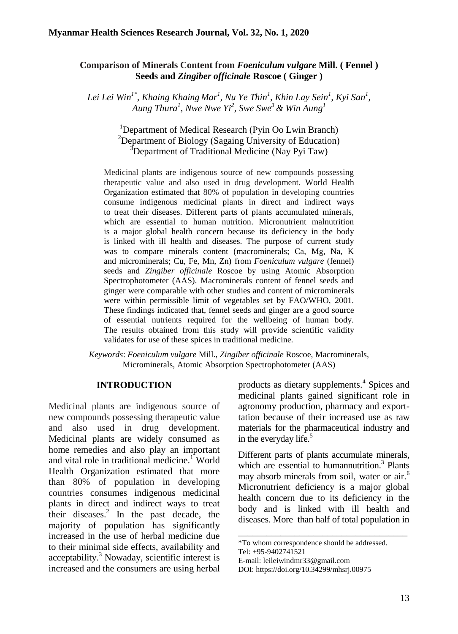## **Comparison of Minerals Content from** *Foeniculum vulgare* **Mill. ( Fennel ) Seeds and** *Zingiber officinale* **Roscoe ( Ginger )**

*Lei Lei Win1\* , Khaing Khaing Mar<sup>1</sup> , Nu Ye Thin<sup>1</sup> , Khin Lay Sein<sup>1</sup> , Kyi San<sup>1</sup> , Aung Thura<sup>1</sup> , Nwe Nwe Yi<sup>2</sup> , Swe Swe<sup>3</sup> & Win Aung<sup>1</sup>*

> <sup>1</sup>Department of Medical Research (Pyin Oo Lwin Branch) <sup>2</sup>Department of Biology (Sagaing University of Education)  $3$ Department of Traditional Medicine (Nay Pyi Taw)

Medicinal plants are indigenous source of new compounds possessing therapeutic value and also used in drug development. World Health Organization estimated that 80% of population in developing countries consume indigenous medicinal plants in direct and indirect ways to treat their diseases. Different parts of plants accumulated minerals, which are essential to human nutrition. Micronutrient malnutrition is a major global health concern because its deficiency in the body is linked with ill health and diseases. The purpose of current study was to compare minerals content (macrominerals; Ca, Mg, Na, K and microminerals; Cu, Fe, Mn, Zn) from *Foeniculum vulgare* (fennel) seeds and *Zingiber officinale* Roscoe by using Atomic Absorption Spectrophotometer (AAS). Macrominerals content of fennel seeds and ginger were comparable with other studies and content of microminerals were within permissible limit of vegetables set by FAO/WHO, 2001. These findings indicated that, fennel seeds and ginger are a good source of essential nutrients required for the wellbeing of human body. The results obtained from this study will provide scientific validity validates for use of these spices in traditional medicine.

*Keywords*: *Foeniculum vulgare* Mill., *Zingiber officinale* Roscoe, Macrominerals, Microminerals, Atomic Absorption Spectrophotometer (AAS)

#### **INTRODUCTION**

Medicinal plants are indigenous source of new compounds possessing therapeutic value and also used in drug development. Medicinal plants are widely consumed as home remedies and also play an important and vital role in traditional medicine.<sup>1</sup> World Health Organization estimated that more than 80% of population in developing countries consumes indigenous medicinal plants in direct and indirect ways to treat their diseases. $\frac{2}{1}$  In the past decade, the majority of population has significantly increased in the use of herbal medicine due to their minimal side effects, availability and acceptability.<sup>3</sup> Nowaday, scientific interest is increased and the consumers are using herbal

products as dietary supplements.<sup>4</sup> Spices and medicinal plants gained significant role in agronomy production, pharmacy and exporttation because of their increased use as raw materials for the pharmaceutical industry and in the everyday life. $5$ 

Different parts of plants accumulate minerals, which are essential to humannutrition.<sup>3</sup> Plants may absorb minerals from soil, water or air.<sup>6</sup> Micronutrient deficiency is a major global health concern due to its deficiency in the body and is linked with ill health and diseases. More than half of total population in

\_\_\_\_\_\_\_\_\_\_\_\_\_\_\_\_\_\_\_\_\_\_\_\_\_\_\_\_\_\_\_\_\_\_\_\_

E-mail: leileiwindmr33@gmail.com

<sup>\*</sup>To whom correspondence should be addressed.

Tel: +95-9402741521

DOI: https://doi.org/10.34299/mhsrj.00975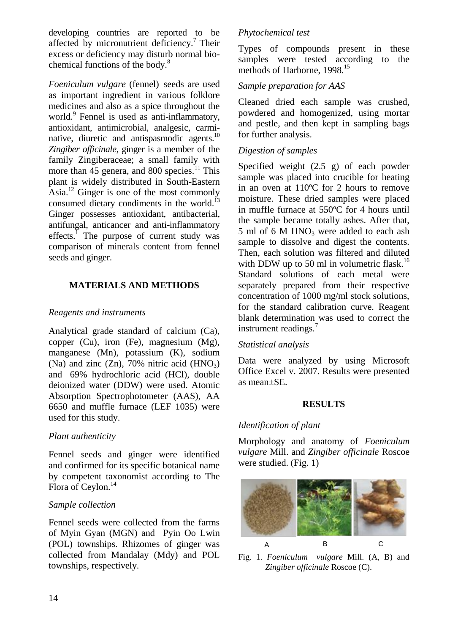developing countries are reported to be affected by micronutrient deficiency.<sup>7</sup> Their excess or deficiency may disturb normal biochemical functions of the body.<sup>8</sup>

*Foeniculum vulgare* (fennel) seeds are used as important ingredient in various folklore medicines and also as a spice throughout the world.<sup>9</sup> Fennel is used as anti-inflammatory, antioxidant, antimicrobial, analgesic, carminative, diuretic and antispasmodic agents.<sup>10</sup> *Zingiber officinale*, ginger is a member of the family Zingiberaceae; a small family with more than  $45$  genera, and 800 species.<sup>11</sup> This plant is widely distributed in South-Eastern Asia.<sup>12</sup> Ginger is one of the most commonly consumed dietary condiments in the world.<sup>13</sup> Ginger possesses antioxidant, antibacterial, antifungal, anticancer and anti-inflammatory  $effects<sup>1</sup>$ . The purpose of current study was comparison of minerals content from fennel seeds and ginger.

# **MATERIALS AND METHODS**

## *Reagents and instruments*

Analytical grade standard of calcium (Ca), copper (Cu), iron (Fe), magnesium (Mg), manganese (Mn), potassium (K), sodium (Na) and zinc  $(Zn)$ , 70% nitric acid  $(HNO<sub>3</sub>)$ and 69% hydrochloric acid (HCl), double deionized water (DDW) were used. Atomic Absorption Spectrophotometer (AAS), AA 6650 and muffle furnace (LEF 1035) were used for this study.

## *Plant authenticity*

Fennel seeds and ginger were identified and confirmed for its specific botanical name by competent taxonomist according to The Flora of Ceylon.<sup>14</sup>

## *Sample collection*

Fennel seeds were collected from the farms of Myin Gyan (MGN) and Pyin Oo Lwin (POL) townships. Rhizomes of ginger was collected from Mandalay (Mdy) and POL townships, respectively.

## *Phytochemical test*

Types of compounds present in these samples were tested according to the methods of Harborne, 1998.<sup>15</sup>

# *Sample preparation for AAS*

Cleaned dried each sample was crushed, powdered and homogenized, using mortar and pestle, and then kept in sampling bags for further analysis.

## *Digestion of samples*

Specified weight (2.5 g) of each powder sample was placed into crucible for heating in an oven at 110ºC for 2 hours to remove moisture. These dried samples were placed in muffle furnace at 550ºC for 4 hours until the sample became totally ashes. After that, 5 ml of 6 M HNO<sub>3</sub> were added to each ash sample to dissolve and digest the contents. Then, each solution was filtered and diluted with DDW up to 50 ml in volumetric flask.<sup>16</sup> Standard solutions of each metal were separately prepared from their respective concentration of 1000 mg/ml stock solutions, for the standard calibration curve. Reagent blank determination was used to correct the instrument readings.<sup>7</sup>

#### *Statistical analysis*

Data were analyzed by using Microsoft Office Excel v. 2007. Results were presented as mean±SE.

#### **RESULTS**

## *Identification of plant*

Morphology and anatomy of *Foeniculum vulgare* Mill. and *Zingiber officinale* Roscoe were studied. (Fig. 1)



Fig. 1. *Foeniculum vulgare* Mill. (A, B) and *Zingiber officinale* Roscoe (C).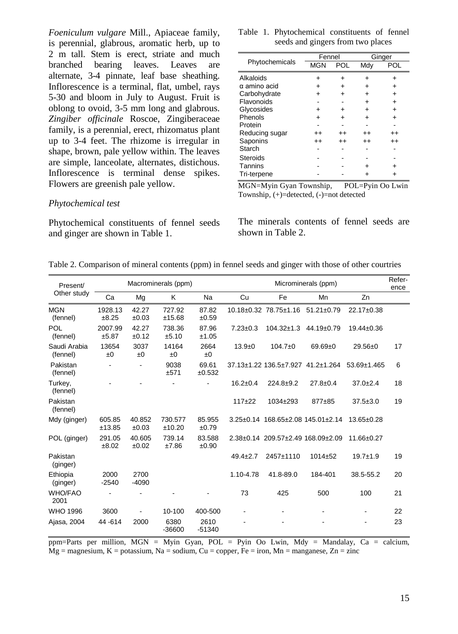*Foeniculum vulgare* Mill., Apiaceae family, is perennial, glabrous, aromatic herb, up to 2 m tall. Stem is erect, striate and much branched bearing leaves. Leaves are alternate, 3-4 pinnate, leaf base sheathing. Inflorescence is a terminal, flat, umbel, rays 5-30 and bloom in July to August. Fruit is oblong to ovoid, 3-5 mm long and glabrous. *Zingiber officinale* Roscoe, Zingiberaceae family, is a perennial, erect, rhizomatus plant up to 3-4 feet. The rhizome is irregular in shape, brown, pale yellow within. The leaves are simple, lanceolate, alternates, distichous. Inflorescence is terminal dense spikes. Flowers are greenish pale yellow.

#### *Phytochemical test*

Phytochemical constituents of fennel seeds and ginger are shown in Table 1.

|  | Table 1. Phytochemical constituents of fennel |  |  |
|--|-----------------------------------------------|--|--|
|  | seeds and gingers from two places             |  |  |

|                 |                  | Ginger                   |                  |
|-----------------|------------------|--------------------------|------------------|
| <b>MGN</b>      | POL              | Mdy                      | POL              |
|                 |                  | +                        |                  |
| $\div$          |                  | +                        | +                |
| ÷               |                  | $\overline{\phantom{a}}$ | $\ddot{}$        |
|                 |                  | ٠                        | $\ddot{}$        |
| $\div$          |                  | +                        | ٠                |
| $\ddot{}$       |                  |                          | +                |
|                 |                  |                          |                  |
| $^{\mathrm{+}}$ | $^{++}$          | $^{\mathrm{+}}$          | $^{\mathrm{+}}$  |
| $^{\mathrm{+}}$ | $^{\mathrm{++}}$ | $^{\mathrm{++}}$         | $^{\mathrm{++}}$ |
|                 |                  |                          |                  |
|                 |                  |                          |                  |
|                 |                  |                          |                  |
|                 |                  |                          |                  |
|                 |                  | Fennel                   |                  |

MGN=Myin Gyan Township, POL=Pyin Oo Lwin Township, (+)=detected, (-)=not detected

The minerals contents of fennel seeds are shown in Table 2.

Table 2. Comparison of mineral contents (ppm) in fennel seeds and ginger with those of other courtries

| Present/<br>Other study  | Macrominerals (ppm) |                 |                   | Microminerals (ppm) |                |                                  |                                   | Refer-<br>ence    |    |
|--------------------------|---------------------|-----------------|-------------------|---------------------|----------------|----------------------------------|-----------------------------------|-------------------|----|
|                          | Ca                  | Mg              | K                 | <b>Na</b>           | Cu             | Fe                               | Mn                                | Zn                |    |
| <b>MGN</b><br>(fennel)   | 1928.13<br>±8.25    | 42.27<br>±0.03  | 727.92<br>±15.68  | 87.82<br>±0.59      |                | 10.18±0.32 78.75±1.16 51.21±0.79 |                                   | 22.17±0.38        |    |
| POL<br>(fennel)          | 2007.99<br>±5.87    | 42.27<br>±0.12  | 738.36<br>±5.10   | 87.96<br>±1.05      | $7.23 \pm 0.3$ |                                  | 104.32±1.3 44.19±0.79             | 19.44±0.36        |    |
| Saudi Arabia<br>(fennel) | 13654<br>±0         | 3037<br>±0      | 14164<br>±0       | 2664<br>±0          | $13.9 + 0$     | $104.7 \pm 0$                    | $69.69 + 0$                       | $29.56 \pm 0$     | 17 |
| Pakistan<br>(fennel)     |                     |                 | 9038<br>±571      | 69.61<br>±0.532     |                |                                  | 37.13±1.22 136.5±7.927 41.2±1.264 | $53.69 \pm 1.465$ | 6  |
| Turkey,<br>(fennel)      |                     |                 |                   |                     | $16.2 \pm 0.4$ | $224.8 + 9.2$                    | $27.8 \pm 0.4$                    | $37.0 \pm 2.4$    | 18 |
| Pakistan<br>(fennel)     |                     |                 |                   |                     | $117+22$       | 1034±293                         | 877±85                            | $37.5 \pm 3.0$    | 19 |
| Mdy (ginger)             | 605.85<br>±13.85    | 40.852<br>±0.03 | 730.577<br>±10.20 | 85.955<br>±0.79     |                |                                  | 3.25±0.14 168.65±2.08 145.01±2.14 | $13.65 \pm 0.28$  |    |
| POL (ginger)             | 291.05<br>±8.02     | 40.605<br>±0.02 | 739.14<br>±7.86   | 83.588<br>±0.90     |                |                                  | 2.38±0.14 209.57±2.49 168.09±2.09 | 11.66±0.27        |    |
| Pakistan<br>(ginger)     |                     |                 |                   |                     | $49.4 \pm 2.7$ | 2457±1110                        | $1014 + 52$                       | $19.7 + 1.9$      | 19 |
| Ethiopia<br>(ginger)     | 2000<br>$-2540$     | 2700<br>$-4090$ |                   |                     | 1.10-4.78      | 41.8-89.0                        | 184-401                           | 38.5-55.2         | 20 |
| <b>WHO/FAO</b><br>2001   |                     |                 |                   |                     | 73             | 425                              | 500                               | 100               | 21 |
| <b>WHO 1996</b>          | 3600                |                 | 10-100            | 400-500             |                |                                  |                                   |                   | 22 |
| Ajasa, 2004              | 44 - 614            | 2000            | 6380<br>$-36600$  | 2610<br>$-51340$    |                |                                  |                                   |                   | 23 |

ppm=Parts per million, MGN = Myin Gyan, POL = Pyin Oo Lwin, Mdy = Mandalay, Ca = calcium,  $Mg =$  magnesium, K = potassium, Na = sodium, Cu = copper, Fe = iron, Mn = manganese, Zn = zinc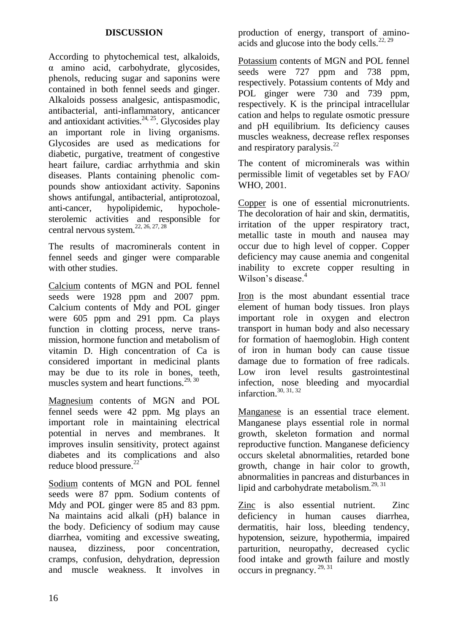## **DISCUSSION**

According to phytochemical test, alkaloids, α amino acid, carbohydrate, glycosides, phenols, reducing sugar and saponins were contained in both fennel seeds and ginger. Alkaloids possess analgesic, antispasmodic, antibacterial, anti-inflammatory, anticancer and antioxidant activities. $24, 25$ . Glycosides play an important role in living organisms. Glycosides are used as medications for diabetic, purgative, treatment of congestive heart failure, cardiac arrhythmia and skin diseases. Plants containing phenolic compounds show antioxidant activity. Saponins shows antifungal, antibacterial, antiprotozoal, anti-cancer, hypolipidemic, hypocholesterolemic activities and responsible for central nervous system.<sup>22, 26, 27, 28</sup>

The results of macrominerals content in fennel seeds and ginger were comparable with other studies

Calcium contents of MGN and POL fennel seeds were 1928 ppm and 2007 ppm. Calcium contents of Mdy and POL ginger were 605 ppm and 291 ppm. Ca plays function in clotting process, nerve transmission, hormone function and metabolism of vitamin D. High concentration of Ca is considered important in medicinal plants may be due to its role in bones, teeth, muscles system and heart functions.<sup>29, 30</sup>

Magnesium contents of MGN and POL fennel seeds were 42 ppm. Mg plays an important role in maintaining electrical potential in nerves and membranes. It improves insulin sensitivity, protect against diabetes and its complications and also reduce blood pressure.<sup>22</sup>

Sodium contents of MGN and POL fennel seeds were 87 ppm. Sodium contents of Mdy and POL ginger were 85 and 83 ppm. Na maintains acid alkali (pH) balance in the body. Deficiency of sodium may cause diarrhea, vomiting and excessive sweating, nausea, dizziness, poor concentration, cramps, confusion, dehydration, depression and muscle weakness. It involves in

production of energy, transport of aminoacids and glucose into the body cells.<sup>22, 29</sup>

Potassium contents of MGN and POL fennel seeds were 727 ppm and 738 ppm, respectively. Potassium contents of Mdy and POL ginger were 730 and 739 ppm, respectively. K is the principal intracellular cation and helps to regulate osmotic pressure and pH equilibrium. Its deficiency causes muscles weakness, decrease reflex responses and respiratory paralysis. $^{22}$ 

The content of microminerals was within permissible limit of vegetables set by FAO/ WHO, 2001.

Copper is one of essential micronutrients. The decoloration of hair and skin, dermatitis, irritation of the upper respiratory tract, metallic taste in mouth and nausea may occur due to high level of copper. Copper deficiency may cause anemia and congenital inability to excrete copper resulting in Wilson's disease.<sup>4</sup>

Iron is the most abundant essential trace element of human body tissues. Iron plays important role in oxygen and electron transport in human body and also necessary for formation of haemoglobin. High content of iron in human body can cause tissue damage due to formation of free radicals. Low iron level results gastrointestinal infection, nose bleeding and myocardial infarction.30, 31, <sup>32</sup>

Manganese is an essential trace element. Manganese plays essential role in normal growth, skeleton formation and normal reproductive function. Manganese deficiency occurs skeletal abnormalities, retarded bone growth, change in hair color to growth, abnormalities in pancreas and disturbances in lipid and carbohydrate metabolism.<sup>29, 31</sup>

Zinc is also essential nutrient. Zinc deficiency in human causes diarrhea, dermatitis, hair loss, bleeding tendency, hypotension, seizure, hypothermia, impaired parturition, neuropathy, decreased cyclic food intake and growth failure and mostly occurs in pregnancy. 29, <sup>31</sup>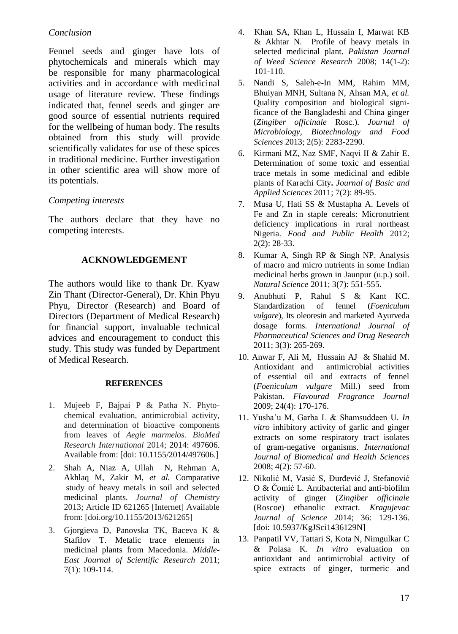## *Conclusion*

Fennel seeds and ginger have lots of phytochemicals and minerals which may be responsible for many pharmacological activities and in accordance with medicinal usage of literature review. These findings indicated that, fennel seeds and ginger are good source of essential nutrients required for the wellbeing of human body. The results obtained from this study will provide scientifically validates for use of these spices in traditional medicine. Further investigation in other scientific area will show more of its potentials.

## *Competing interests*

The authors declare that they have no competing interests.

#### **ACKNOWLEDGEMENT**

The authors would like to thank Dr. Kyaw Zin Thant (Director-General), Dr. Khin Phyu Phyu, Director (Research) and Board of Directors (Department of Medical Research) for financial support, invaluable technical advices and encouragement to conduct this study. This study was funded by Department of Medical Research.

#### **REFERENCES**

- 1. Mujeeb F, Bajpai P & Patha N. Phytochemical evaluation, antimicrobial activity, and determination of bioactive components from leaves of *Aegle marmelos. BioMed Research International* 2014; 2014: 497606. Available from: [doi: 10.1155/2014/497606.]
- 2. Shah A, Niaz A*,* UllahN, Rehman A, Akhlaq M, Zakir M, *et al.* Comparative study of heavy metals in soil and selected medicinal plants. *Journal of Chemistry*  2013; Article ID 621265 [Internet] Available from: [doi.org/10.1155/2013/621265]
- 3. Gjorgieva D, Panovska TK, Baceva K & Stafilov T. Metalic trace elements in medicinal plants from Macedonia. *Middle-East Journal of Scientific Research* 2011; 7(1): 109-114.
- 4. Khan SA, Khan L, Hussain I, Marwat KB & Akhtar N*.* Profile of heavy metals in selected medicinal plant. *Pakistan Journal of Weed Science Research* 2008; 14(1-2): 101-110.
- 5. Nandi S, Saleh-e-In MM, Rahim MM, Bhuiyan MNH, Sultana N, Ahsan MA, *et al.*  Quality composition and biological significance of the Bangladeshi and China ginger (*Zingiber officinale* Rosc.). *Journal of Microbiology, Biotechnology and Food Sciences* 2013; 2(5): 2283-2290.
- 6. Kirmani MZ, Naz SMF, Naqvi II & Zahir E. Determination of some toxic and essential trace metals in some medicinal and edible plants of Karachi City**.** *Journal of Basic and Applied Sciences* 2011; 7(2): 89-95.
- 7. Musa U, Hati SS & Mustapha A. Levels of Fe and Zn in staple cereals: Micronutrient deficiency implications in rural northeast Nigeria. *Food and Public Health* 2012; 2(2): 28-33.
- 8. Kumar A, Singh RP & Singh NP. Analysis of macro and micro nutrients in some Indian medicinal herbs grown in Jaunpur (u.p.) soil. *Natural Science* 2011; 3(7): 551-555.
- 9. Anubhuti P, Rahul S & Kant KC. Standardization of fennel (*Foeniculum vulgare*), Its oleoresin and marketed Ayurveda dosage forms. *International Journal of Pharmaceutical Sciences and Drug Research* 2011; 3(3): 265-269.
- 10. Anwar F, Ali M, Hussain AJ & Shahid M. Antioxidant and antimicrobial activities of essential oil and extracts of fennel (*Foeniculum vulgare* Mill.) seed from Pakistan. *Flavourad Fragrance Journal* 2009; 24(4): 170-176.
- 11. Yusha'u M, Garba L & Shamsuddeen U. *In vitro* inhibitory activity of garlic and ginger extracts on some respiratory tract isolates of gram-negative organisms. *International Journal of Biomedical and Health Sciences* 2008; 4(2): 57-60.
- 12. Nikolić M, Vasić S, Đurđević J, Stefanović O & Čomić L. Antibacterial and anti-biofilm activity of ginger (*Zingiber officinale*  (Roscoe) ethanolic extract. *Kragujevac Journal of Science* 2014; 36: 129-136. [doi[: 10.5937/KgJSci1436129N\]](https://www.researchgate.net/deref/http%3A%2F%2Fdx.doi.org%2F10.5937%2FKgJSci1436129N)
- 13. Panpatil VV, Tattari S, Kota N, Nimgulkar C & Polasa K. *In vitro* evaluation on antioxidant and antimicrobial activity of spice extracts of ginger, turmeric and